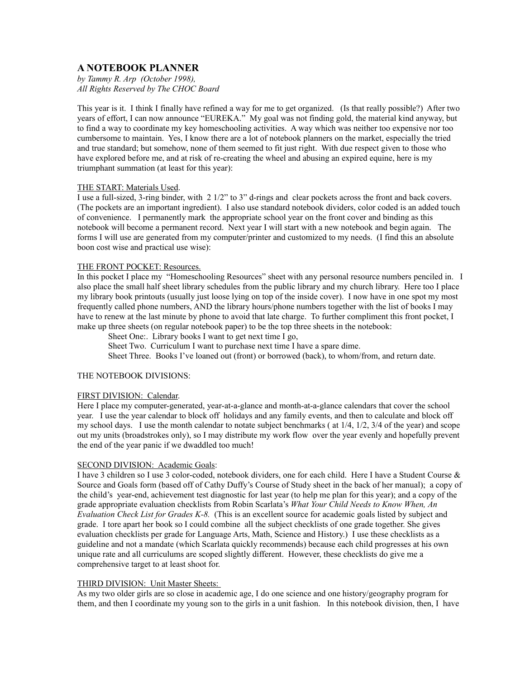# **A NOTEBOOK PLANNER**

*by Tammy R. Arp (October 1998), All Rights Reserved by The CHOC Board*

This year is it. I think I finally have refined a way for me to get organized. (Is that really possible?) After two years of effort, I can now announce "EUREKA." My goal was not finding gold, the material kind anyway, but to find a way to coordinate my key homeschooling activities. A way which was neither too expensive nor too cumbersome to maintain. Yes, I know there are a lot of notebook planners on the market, especially the tried and true standard; but somehow, none of them seemed to fit just right. With due respect given to those who have explored before me, and at risk of re-creating the wheel and abusing an expired equine, here is my triumphant summation (at least for this year):

## THE START: Materials Used.

I use a full-sized, 3-ring binder, with 2 1/2" to 3" d-rings and clear pockets across the front and back covers. (The pockets are an important ingredient). I also use standard notebook dividers, color coded is an added touch of convenience. I permanently mark the appropriate school year on the front cover and binding as this notebook will become a permanent record. Next year I will start with a new notebook and begin again. The forms I will use are generated from my computer/printer and customized to my needs. (I find this an absolute boon cost wise and practical use wise):

## THE FRONT POCKET: Resources.

In this pocket I place my "Homeschooling Resources" sheet with any personal resource numbers penciled in. I also place the small half sheet library schedules from the public library and my church library. Here too I place my library book printouts (usually just loose lying on top of the inside cover). I now have in one spot my most frequently called phone numbers, AND the library hours/phone numbers together with the list of books I may have to renew at the last minute by phone to avoid that late charge. To further compliment this front pocket, I make up three sheets (on regular notebook paper) to be the top three sheets in the notebook:

Sheet One:. Library books I want to get next time I go,

Sheet Two. Curriculum I want to purchase next time I have a spare dime.

Sheet Three. Books I've loaned out (front) or borrowed (back), to whom/from, and return date.

#### THE NOTEBOOK DIVISIONS:

#### FIRST DIVISION: Calendar.

Here I place my computer-generated, year-at-a-glance and month-at-a-glance calendars that cover the school year. I use the year calendar to block off holidays and any family events, and then to calculate and block off my school days. I use the month calendar to notate subject benchmarks ( at 1/4, 1/2, 3/4 of the year) and scope out my units (broadstrokes only), so I may distribute my work flow over the year evenly and hopefully prevent the end of the year panic if we dwaddled too much!

#### SECOND DIVISION: Academic Goals:

I have 3 children so I use 3 color-coded, notebook dividers, one for each child. Here I have a Student Course & Source and Goals form (based off of Cathy Duffy's Course of Study sheet in the back of her manual); a copy of the child's year-end, achievement test diagnostic for last year (to help me plan for this year); and a copy of the grade appropriate evaluation checklists from Robin Scarlata's *What Your Child Needs to Know When, An Evaluation Check List for Grades K-8.* (This is an excellent source for academic goals listed by subject and grade. I tore apart her book so I could combine all the subject checklists of one grade together. She gives evaluation checklists per grade for Language Arts, Math, Science and History.) I use these checklists as a guideline and not a mandate (which Scarlata quickly recommends) because each child progresses at his own unique rate and all curriculums are scoped slightly different. However, these checklists do give me a comprehensive target to at least shoot for.

#### THIRD DIVISION: Unit Master Sheets:

As my two older girls are so close in academic age, I do one science and one history/geography program for them, and then I coordinate my young son to the girls in a unit fashion. In this notebook division, then, I have